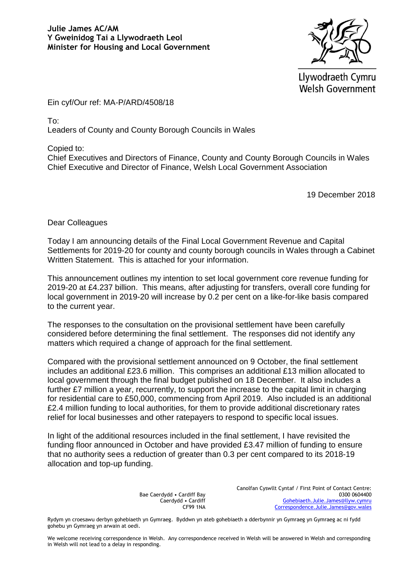

Llywodraeth Cymru **Welsh Government** 

Ein cyf/Our ref: MA-P/ARD/4508/18

To:

Leaders of County and County Borough Councils in Wales

Copied to:

Chief Executives and Directors of Finance, County and County Borough Councils in Wales Chief Executive and Director of Finance, Welsh Local Government Association

19 December 2018

Dear Colleagues

Today I am announcing details of the Final Local Government Revenue and Capital Settlements for 2019-20 for county and county borough councils in Wales through a Cabinet Written Statement. This is attached for your information.

This announcement outlines my intention to set local government core revenue funding for 2019-20 at £4.237 billion. This means, after adjusting for transfers, overall core funding for local government in 2019-20 will increase by 0.2 per cent on a like-for-like basis compared to the current year.

The responses to the consultation on the provisional settlement have been carefully considered before determining the final settlement. The responses did not identify any matters which required a change of approach for the final settlement.

Compared with the provisional settlement announced on 9 October, the final settlement includes an additional £23.6 million. This comprises an additional £13 million allocated to local government through the final budget published on 18 December. It also includes a further £7 million a year, recurrently, to support the increase to the capital limit in charging for residential care to £50,000, commencing from April 2019. Also included is an additional £2.4 million funding to local authorities, for them to provide additional discretionary rates relief for local businesses and other ratepayers to respond to specific local issues.

In light of the additional resources included in the final settlement, I have revisited the funding floor announced in October and have provided £3.47 million of funding to ensure that no authority sees a reduction of greater than 0.3 per cent compared to its 2018-19 allocation and top-up funding.

> Bae Caerdydd • Cardiff Bay Caerdydd • Cardiff CF99 1NA

Canolfan Cyswllt Cyntaf / First Point of Contact Centre: 0300 0604400 [Gohebiaeth.Julie.James@llyw.cymru](mailto:Gohebiaeth.Julie.James@llyw.cymru) [Correspondence.Julie.James@gov.wales](mailto:Correspondence.Julie.James@gov.wales)

Rydym yn croesawu derbyn gohebiaeth yn Gymraeg. Byddwn yn ateb gohebiaeth a dderbynnir yn Gymraeg yn Gymraeg ac ni fydd gohebu yn Gymraeg yn arwain at oedi.

We welcome receiving correspondence in Welsh. Any correspondence received in Welsh will be answered in Welsh and corresponding in Welsh will not lead to a delay in responding.